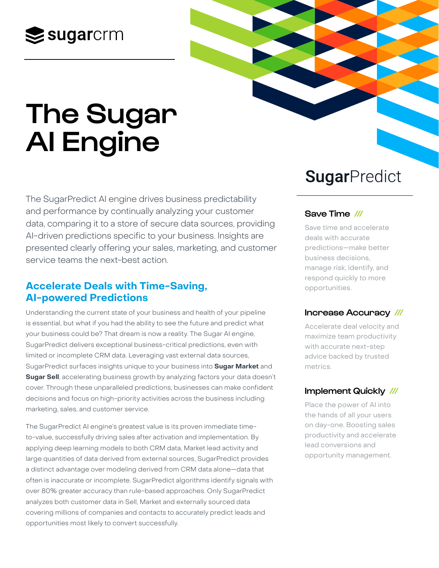# $\leq$  sugarcrm

# The Sugar AI Engine

The SugarPredict AI engine drives business predictability and performance by continually analyzing your customer data, comparing it to a store of secure data sources, providing AI-driven predictions specific to your business. Insights are presented clearly offering your sales, marketing, and customer service teams the next-best action.

# **Accelerate Deals with Time-Saving, AI-powered Predictions**

Understanding the current state of your business and health of your pipeline is essential, but what if you had the ability to see the future and predict what your business could be? That dream is now a reality. The Sugar AI engine, SugarPredict delivers exceptional business-critical predictions, even with limited or incomplete CRM data. Leveraging vast external data sources, SugarPredict surfaces insights unique to your business into **Sugar Market** and **Sugar Sell**, accelerating business growth by analyzing factors your data doesn't cover. Through these unparalleled predictions, businesses can make confident decisions and focus on high-priority activities across the business including marketing, sales, and customer service.

The SugarPredict AI engine's greatest value is its proven immediate timeto-value, successfully driving sales after activation and implementation. By applying deep learning models to both CRM data, Market lead activity and large quantities of data derived from external sources, SugarPredict provides a distinct advantage over modeling derived from CRM data alone—data that often is inaccurate or incomplete. SugarPredict algorithms identify signals with over 80% greater accuracy than rule-based approaches. Only SugarPredict analyzes both customer data in Sell, Market and externally sourced data covering millions of companies and contacts to accurately predict leads and opportunities most likely to convert successfully.

# SugarPredict

# Save Time ///

Save time and accelerate deals with accurate predictions—make better business decisions, manage risk, identify, and respond quickly to more opportunities.

# Increase Accuracy ///

Accelerate deal velocity and maximize team productivity with accurate next-step advice backed by trusted metrics.

# Implement Quickly ///

Place the power of AI into the hands of all your users on day-one. Boosting sales productivity and accelerate lead conversions and opportunity management.